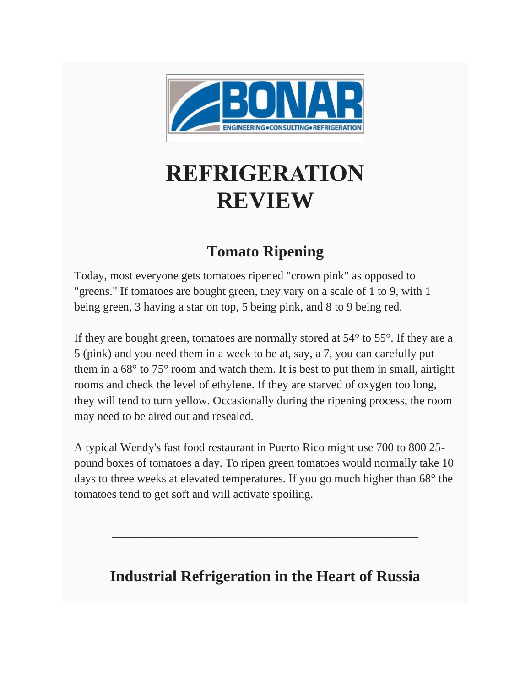

## **REFRIGERATION REVIEW**

## **Tomato Ripening**

Today, most everyone gets tomatoes ripened "crown pink" as opposed to "greens." If tomatoes are bought green, they vary on a scale of 1 to 9, with 1 being green, 3 having a star on top, 5 being pink, and 8 to 9 being red.

If they are bought green, tomatoes are normally stored at 54° to 55°. If they are a 5 (pink) and you need them in a week to be at, say, a 7, you can carefully put them in a 68° to 75° room and watch them. It is best to put them in small, airtight rooms and check the level of ethylene. If they are starved of oxygen too long, they will tend to turn yellow. Occasionally during the ripening process, the room may need to be aired out and resealed.

A typical Wendy's fast food restaurant in Puerto Rico might use 700 to 800 25 pound boxes of tomatoes a day. To ripen green tomatoes would normally take 10 days to three weeks at elevated temperatures. If you go much higher than 68° the tomatoes tend to get soft and will activate spoiling.

## **Industrial Refrigeration in the Heart of Russia**

\_\_\_\_\_\_\_\_\_\_\_\_\_\_\_\_\_\_\_\_\_\_\_\_\_\_\_\_\_\_\_\_\_\_\_\_\_\_\_\_\_\_\_\_\_\_\_\_\_\_\_\_\_